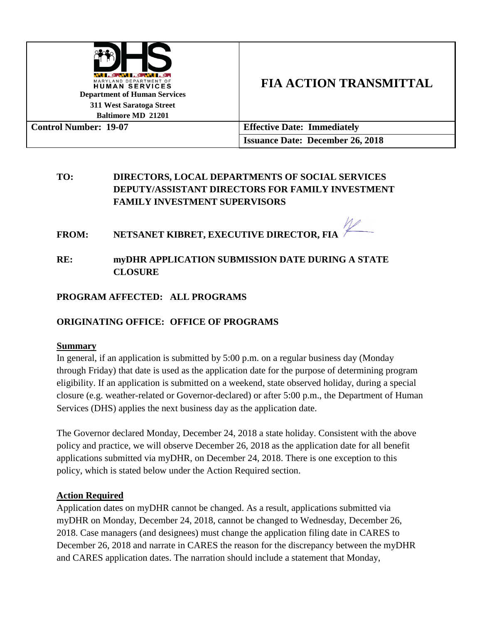

# **FIA ACTION TRANSMITTAL**

| Baltimore MD 21201           |                                         |
|------------------------------|-----------------------------------------|
| <b>Control Number: 19-07</b> | <b>Effective Date: Immediately</b>      |
|                              | <b>Issuance Date: December 26, 2018</b> |

# **TO: DIRECTORS, LOCAL DEPARTMENTS OF SOCIAL SERVICES DEPUTY/ASSISTANT DIRECTORS FOR FAMILY INVESTMENT FAMILY INVESTMENT SUPERVISORS**

**FROM: NETSANET KIBRET, EXECUTIVE DIRECTOR, FIA**

## **RE: myDHR APPLICATION SUBMISSION DATE DURING A STATE CLOSURE**

## **PROGRAM AFFECTED: ALL PROGRAMS**

## **ORIGINATING OFFICE: OFFICE OF PROGRAMS**

### **Summary**

In general, if an application is submitted by 5:00 p.m. on a regular business day (Monday through Friday) that date is used as the application date for the purpose of determining program eligibility. If an application is submitted on a weekend, state observed holiday, during a special closure (e.g. weather-related or Governor-declared) or after 5:00 p.m., the Department of Human Services (DHS) applies the next business day as the application date.

The Governor declared Monday, December 24, 2018 a state holiday. Consistent with the above policy and practice, we will observe December 26, 2018 as the application date for all benefit applications submitted via myDHR, on December 24, 2018. There is one exception to this policy, which is stated below under the Action Required section.

### **Action Required**

Application dates on myDHR cannot be changed. As a result, applications submitted via myDHR on Monday, December 24, 2018, cannot be changed to Wednesday, December 26, 2018. Case managers (and designees) must change the application filing date in CARES to December 26, 2018 and narrate in CARES the reason for the discrepancy between the myDHR and CARES application dates. The narration should include a statement that Monday,